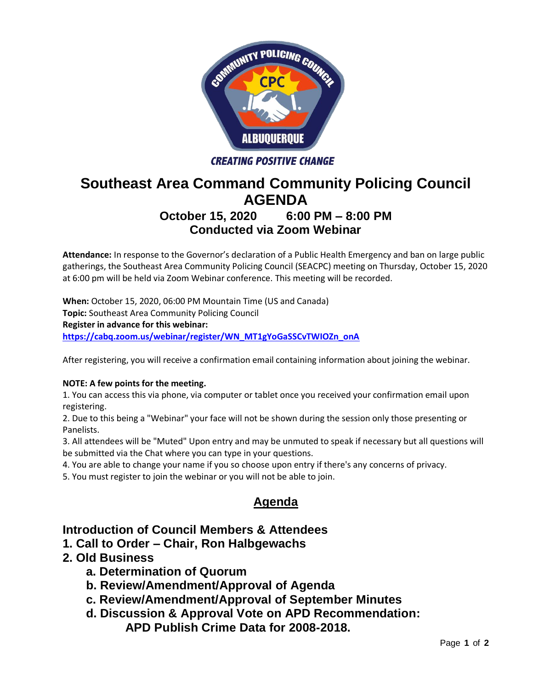

#### **CREATING POSITIVE CHANGE**

# **Southeast Area Command Community Policing Council AGENDA**

# **October 15, 2020 6:00 PM – 8:00 PM Conducted via Zoom Webinar**

**Attendance:** In response to the Governor's declaration of a Public Health Emergency and ban on large public gatherings, the Southeast Area Community Policing Council (SEACPC) meeting on Thursday, October 15, 2020 at 6:00 pm will be held via Zoom Webinar conference. This meeting will be recorded.

**When:** October 15, 2020, 06:00 PM Mountain Time (US and Canada) **Topic:** Southeast Area Community Policing Council **Register in advance for this webinar: [https://cabq.zoom.us/webinar/register/WN\\_MT1gYoGaSSCvTWIOZn\\_onA](https://cabq.zoom.us/webinar/register/WN_MT1gYoGaSSCvTWIOZn_onA)**

After registering, you will receive a confirmation email containing information about joining the webinar.

#### **NOTE: A few points for the meeting.**

1. You can access this via phone, via computer or tablet once you received your confirmation email upon registering.

2. Due to this being a "Webinar" your face will not be shown during the session only those presenting or Panelists.

3. All attendees will be "Muted" Upon entry and may be unmuted to speak if necessary but all questions will be submitted via the Chat where you can type in your questions.

- 4. You are able to change your name if you so choose upon entry if there's any concerns of privacy.
- 5. You must register to join the webinar or you will not be able to join.

## **Agenda**

### **Introduction of Council Members & Attendees**

- **1. Call to Order – Chair, Ron Halbgewachs**
- **2. Old Business**
	- **a. Determination of Quorum**
	- **b. Review/Amendment/Approval of Agenda**
	- **c. Review/Amendment/Approval of September Minutes**
	- **d. Discussion & Approval Vote on APD Recommendation:** 
		- **APD Publish Crime Data for 2008-2018.**